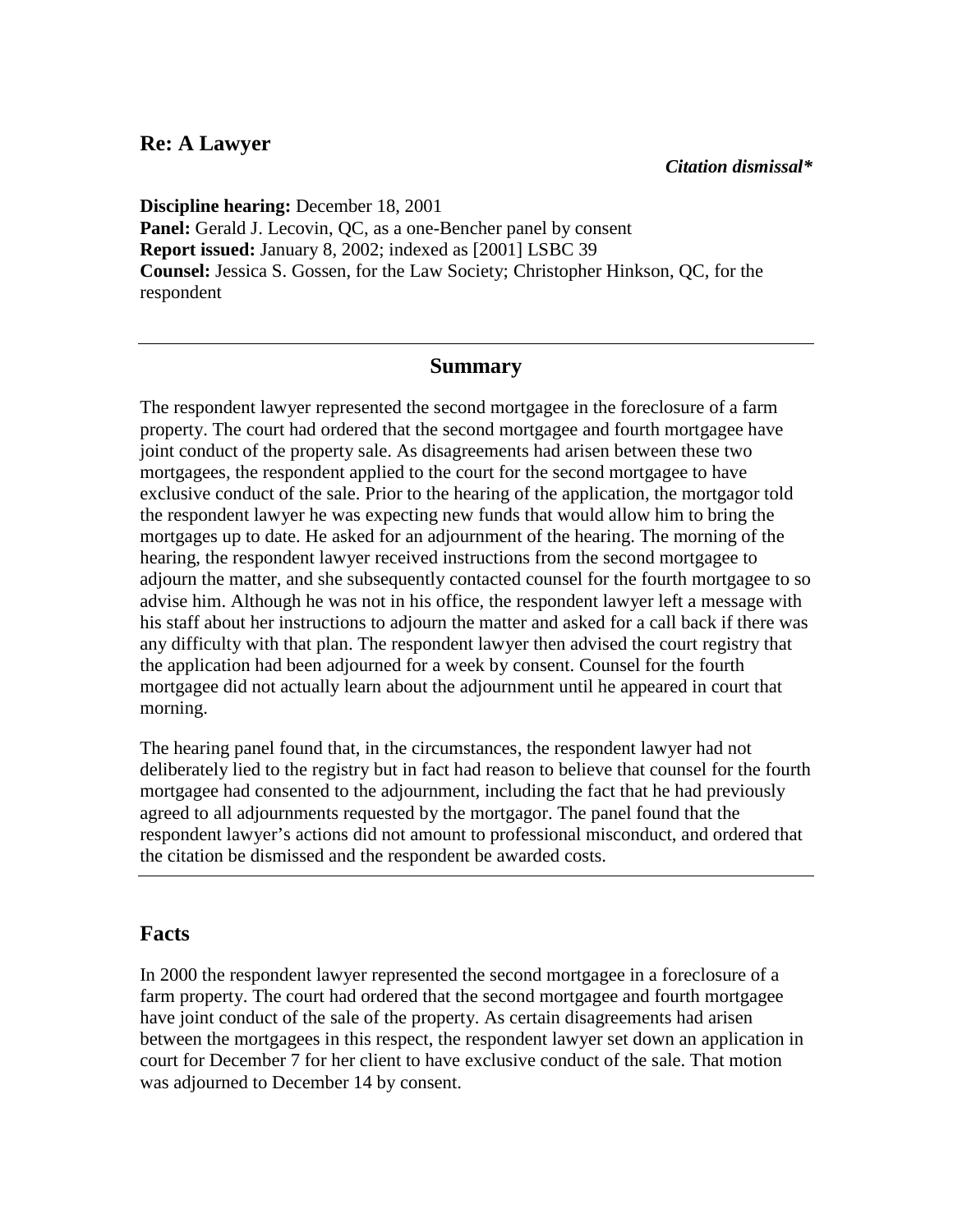## **Re: A Lawyer**

**Discipline hearing:** December 18, 2001 **Panel:** Gerald J. Lecovin, QC, as a one-Bencher panel by consent **Report issued:** January 8, 2002; indexed as [2001] LSBC 39 **Counsel:** Jessica S. Gossen, for the Law Society; Christopher Hinkson, QC, for the respondent

## **Summary**

The respondent lawyer represented the second mortgagee in the foreclosure of a farm property. The court had ordered that the second mortgagee and fourth mortgagee have joint conduct of the property sale. As disagreements had arisen between these two mortgagees, the respondent applied to the court for the second mortgagee to have exclusive conduct of the sale. Prior to the hearing of the application, the mortgagor told the respondent lawyer he was expecting new funds that would allow him to bring the mortgages up to date. He asked for an adjournment of the hearing. The morning of the hearing, the respondent lawyer received instructions from the second mortgagee to adjourn the matter, and she subsequently contacted counsel for the fourth mortgagee to so advise him. Although he was not in his office, the respondent lawyer left a message with his staff about her instructions to adjourn the matter and asked for a call back if there was any difficulty with that plan. The respondent lawyer then advised the court registry that the application had been adjourned for a week by consent. Counsel for the fourth mortgagee did not actually learn about the adjournment until he appeared in court that morning.

The hearing panel found that, in the circumstances, the respondent lawyer had not deliberately lied to the registry but in fact had reason to believe that counsel for the fourth mortgagee had consented to the adjournment, including the fact that he had previously agreed to all adjournments requested by the mortgagor. The panel found that the respondent lawyer's actions did not amount to professional misconduct, and ordered that the citation be dismissed and the respondent be awarded costs.

## **Facts**

In 2000 the respondent lawyer represented the second mortgagee in a foreclosure of a farm property. The court had ordered that the second mortgagee and fourth mortgagee have joint conduct of the sale of the property. As certain disagreements had arisen between the mortgagees in this respect, the respondent lawyer set down an application in court for December 7 for her client to have exclusive conduct of the sale. That motion was adjourned to December 14 by consent.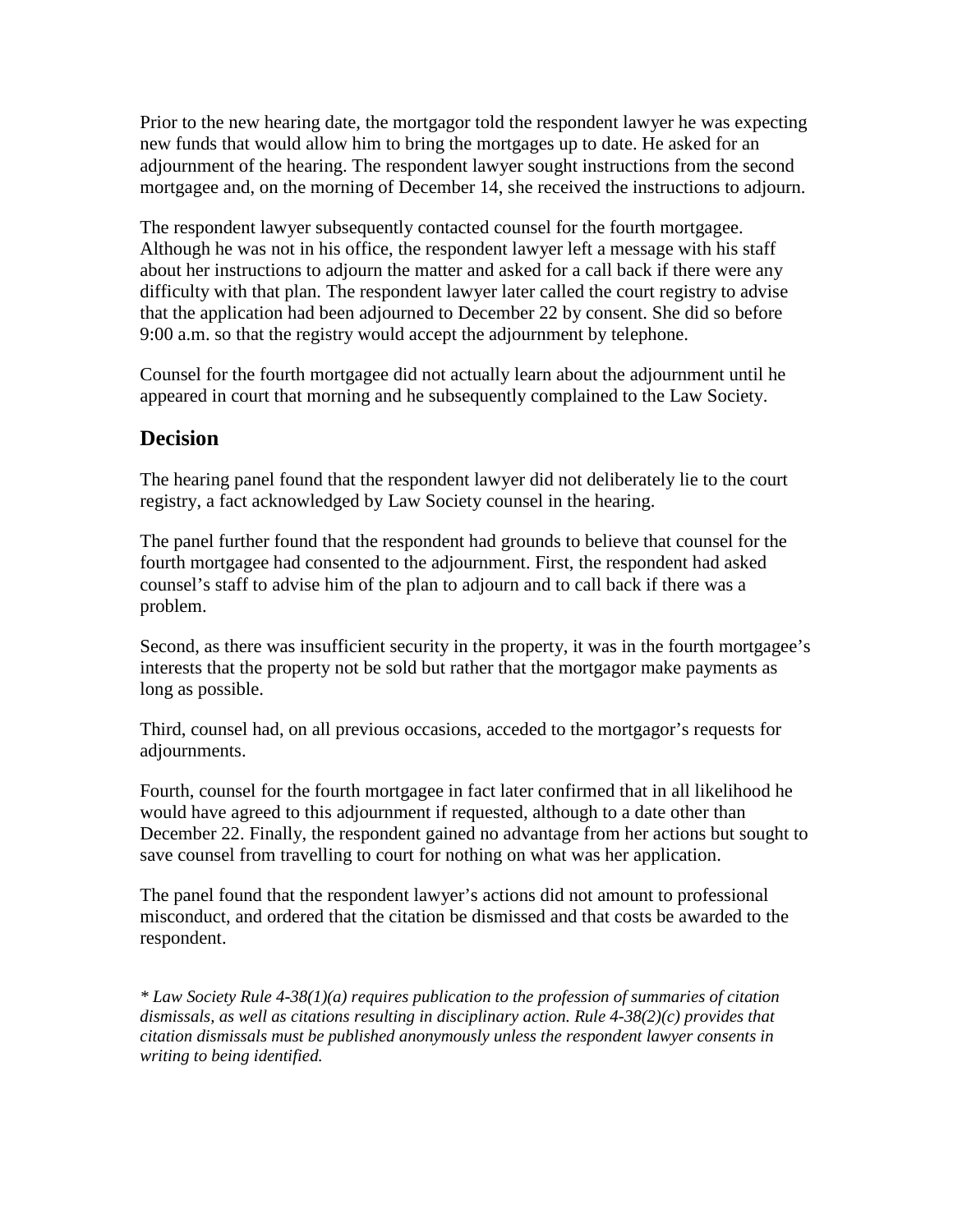Prior to the new hearing date, the mortgagor told the respondent lawyer he was expecting new funds that would allow him to bring the mortgages up to date. He asked for an adjournment of the hearing. The respondent lawyer sought instructions from the second mortgagee and, on the morning of December 14, she received the instructions to adjourn.

The respondent lawyer subsequently contacted counsel for the fourth mortgagee. Although he was not in his office, the respondent lawyer left a message with his staff about her instructions to adjourn the matter and asked for a call back if there were any difficulty with that plan. The respondent lawyer later called the court registry to advise that the application had been adjourned to December 22 by consent. She did so before 9:00 a.m. so that the registry would accept the adjournment by telephone.

Counsel for the fourth mortgagee did not actually learn about the adjournment until he appeared in court that morning and he subsequently complained to the Law Society.

## **Decision**

The hearing panel found that the respondent lawyer did not deliberately lie to the court registry, a fact acknowledged by Law Society counsel in the hearing.

The panel further found that the respondent had grounds to believe that counsel for the fourth mortgagee had consented to the adjournment. First, the respondent had asked counsel's staff to advise him of the plan to adjourn and to call back if there was a problem.

Second, as there was insufficient security in the property, it was in the fourth mortgagee's interests that the property not be sold but rather that the mortgagor make payments as long as possible.

Third, counsel had, on all previous occasions, acceded to the mortgagor's requests for adjournments.

Fourth, counsel for the fourth mortgagee in fact later confirmed that in all likelihood he would have agreed to this adjournment if requested, although to a date other than December 22. Finally, the respondent gained no advantage from her actions but sought to save counsel from travelling to court for nothing on what was her application.

The panel found that the respondent lawyer's actions did not amount to professional misconduct, and ordered that the citation be dismissed and that costs be awarded to the respondent.

*\* Law Society Rule 4-38(1)(a) requires publication to the profession of summaries of citation dismissals, as well as citations resulting in disciplinary action. Rule 4-38(2)(c) provides that citation dismissals must be published anonymously unless the respondent lawyer consents in writing to being identified.*